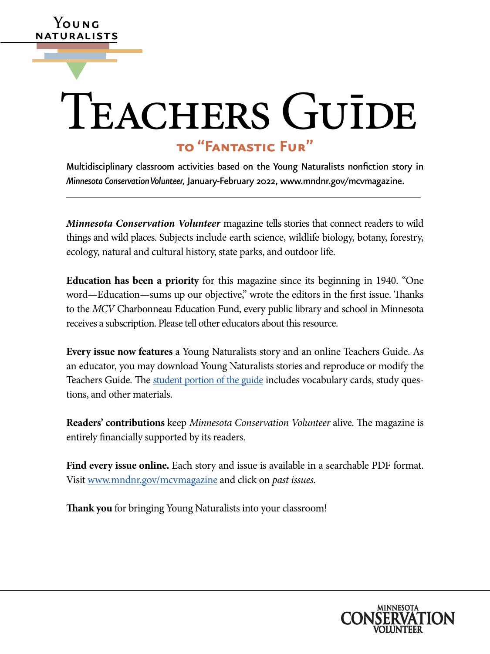# **to "Fantastic Fur"** ▼ TEACHERS GUĪDE

**Y**oung naturalists

> Multidisciplinary classroom activities based on the Young Naturalists nonfiction story in *Minnesota Conservation Volunteer,* January-February 2022, [www.mndnr.gov/mcvmagazine](http://www.dnr.state.mn.us/mcvmagazine/index.html).

> *Minnesota Conservation Volunteer* magazine tells stories that connect readers to wild things and wild places. Subjects include earth science, wildlife biology, botany, forestry, ecology, natural and cultural history, state parks, and outdoor life.

> **Education has been a priority** for this magazine since its beginning in 1940. "One word—Education—sums up our objective," wrote the editors in the first issue. Thanks to the *MCV* Charbonneau Education Fund, every public library and school in Minnesota receives a subscription. Please tell other educators about this resource.

> **Every issue now features** a Young Naturalists story and an online Teachers Guide. As an educator, you may download Young Naturalists stories and reproduce or modify the Teachers Guide. The [student portion of the guide](https://www.dnr.state.mn.us/mcvmagazine/young-naturalists.html) includes vocabulary cards, study questions, and other materials.

> **Readers' contributions** keep *Minnesota Conservation Volunteer* alive. The magazine is entirely financially supported by its readers.

> **Find every issue online.** Each story and issue is available in a searchable PDF format. Visit [www.mndnr.gov/mcvmagazine](http://www.mndnr.gov/mcvmagazine) and click on *past issues.*

**Thank you** for bringing Young Naturalists into your classroom!

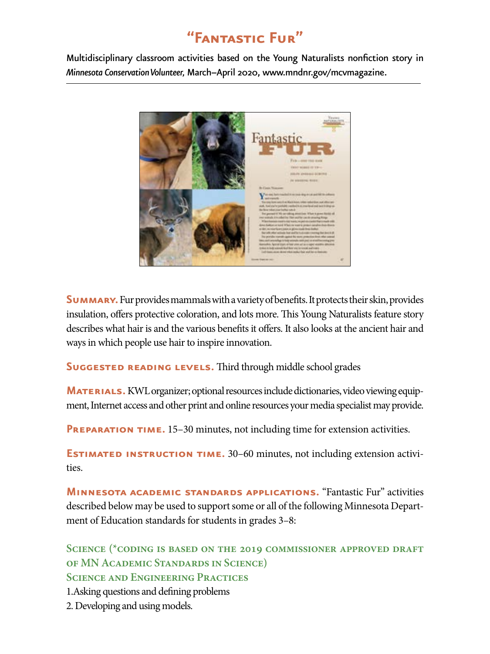# **"Fantastic Fur"**

Multidisciplinary classroom activities based on the Young Naturalists nonfiction story in *Minnesota Conservation Volunteer,* March–April 2020, [www.mndnr.gov/mcvmagazine.](http://www.mndnr.gov/mcvmagazine)



**SUMMARY.** Fur provides mammals with a variety of benefits. It protects their skin, provides insulation, offers protective coloration, and lots more. This Young Naturalists feature story describes what hair is and the various benefits it offers. It also looks at the ancient hair and ways in which people use hair to inspire innovation.

**SUGGESTED READING LEVELS.** Third through middle school grades

**MATERIALS.** KWL organizer; optional resources include dictionaries, video viewing equipment, Internet access and other print and online resources your media specialist may provide.

**PREPARATION TIME.** 15–30 minutes, not including time for extension activities.

**ESTIMATED INSTRUCTION TIME.** 30–60 minutes, not including extension activities.

**Minnesota academic standards applications.** "Fantastic Fur" activities described below may be used to support some or all of the following Minnesota Department of Education standards for students in grades 3–8:

**Science (\*coding is based on the 2019 commissioner approved draft of MN Academic Standards in Science) Science and Engineering Practices**

1.Asking questions and defining problems

2. Developing and using models.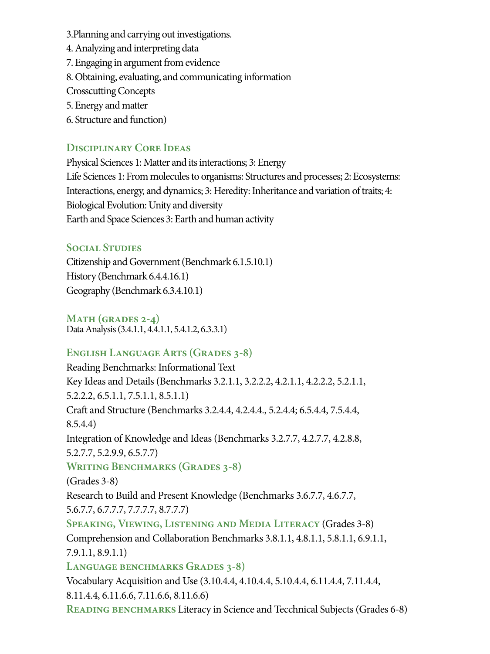3.Planning and carrying out investigations.

- 4. Analyzing and interpreting data
- 7. Engaging in argument from evidence
- 8. Obtaining, evaluating, and communicating information
- Crosscutting Concepts
- 5. Energy and matter
- 6. Structure and function)

## **Disciplinary Core Ideas**

Physical Sciences 1: Matter and its interactions; 3: Energy Life Sciences 1: From molecules to organisms: Structures and processes; 2: Ecosystems: Interactions, energy, and dynamics; 3: Heredity: Inheritance and variation of traits; 4: Biological Evolution: Unity and diversity Earth and Space Sciences 3: Earth and human activity

### **Social Studies**

Citizenship and Government (Benchmark 6.1.5.10.1) History (Benchmark 6.4.4.16.1) Geography (Benchmark 6.3.4.10.1)

**Math (grades 2-4)** Data Analysis (3.4.1.1, 4.4.1.1, 5.4.1.2, 6.3.3.1)

# **English Language Arts (Grades 3-8)**

Reading Benchmarks: Informational Text Key Ideas and Details (Benchmarks 3.2.1.1, 3.2.2.2, 4.2.1.1, 4.2.2.2, 5.2.1.1, 5.2.2.2, 6.5.1.1, 7.5.1.1, 8.5.1.1) Craft and Structure (Benchmarks 3.2.4.4, 4.2.4.4., 5.2.4.4; 6.5.4.4, 7.5.4.4, 8.5.4.4) Integration of Knowledge and Ideas (Benchmarks 3.2.7.7, 4.2.7.7, 4.2.8.8, 5.2.7.7, 5.2.9.9, 6.5.7.7) **Writing Benchmarks (Grades 3-8)** (Grades 3-8) Research to Build and Present Knowledge (Benchmarks 3.6.7.7, 4.6.7.7, 5.6.7.7, 6.7.7.7, 7.7.7.7, 8.7.7.7) **Speaking, Viewing, Listening and Media Literacy** (Grades 3-8) Comprehension and Collaboration Benchmarks 3.8.1.1, 4.8.1.1, 5.8.1.1, 6.9.1.1, 7.9.1.1, 8.9.1.1) **Language benchmarks Grades 3-8)** Vocabulary Acquisition and Use (3.10.4.4, 4.10.4.4, 5.10.4.4, 6.11.4.4, 7.11.4.4, 8.11.4.4, 6.11.6.6, 7.11.6.6, 8.11.6.6) **READING BENCHMARKS** Literacy in Science and Tecchnical Subjects (Grades 6-8)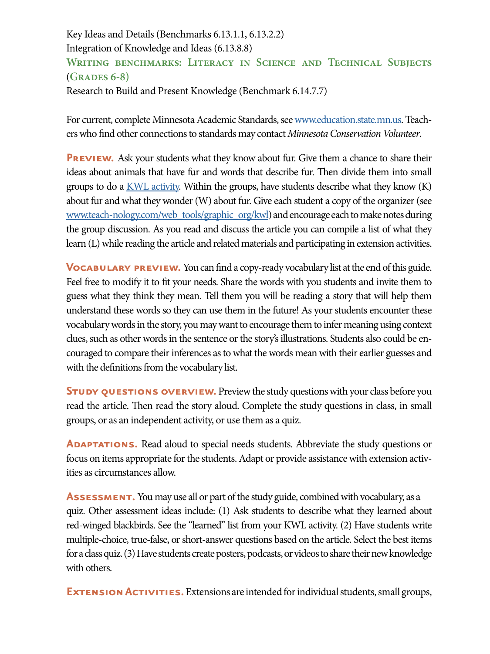### Key Ideas and Details (Benchmarks 6.13.1.1, 6.13.2.2) Integration of Knowledge and Ideas (6.13.8.8) **Writing benchmarks: Literacy in Science and Technical Subjects**  (**Grades 6-8)**  Research to Build and Present Knowledge (Benchmark 6.14.7.7)

For current, complete Minnesota Academic Standards, see [www.education.state.mn.us](https://education.mn.gov/mde/index.html). Teachers who find other connections to standards may contact *Minnesota Conservation Volunteer*.

**PREVIEW.** Ask your students what they know about fur. Give them a chance to share their ideas about animals that have fur and words that describe fur. Then divide them into small groups to do a  $KWL$  activity. Within the groups, have students describe what they know  $(K)$ about fur and what they wonder (W) about fur. Give each student a copy of the organizer (see [www.teach-nology.com/web\\_tools/graphic\\_org/kwl](http://www.teach-nology.com/web_tools/graphic_org/kwl/)) and encourage each to make notes during the group discussion. As you read and discuss the article you can compile a list of what they learn (L) while reading the article and related materials and participating in extension activities.

**VOCABULARY PREVIEW.** You can find a copy-ready vocabulary list at the end of this guide. Feel free to modify it to fit your needs. Share the words with you students and invite them to guess what they think they mean. Tell them you will be reading a story that will help them understand these words so they can use them in the future! As your students encounter these vocabulary words in the story, you may want to encourage them to infer meaning using context clues, such as other words in the sentence or the story's illustrations. Students also could be encouraged to compare their inferences as to what the words mean with their earlier guesses and with the definitions from the vocabulary list.

**STUDY QUESTIONS OVERVIEW.** Preview the study questions with your class before you read the article. Then read the story aloud. Complete the study questions in class, in small groups, or as an independent activity, or use them as a quiz.

**ADAPTATIONS.** Read aloud to special needs students. Abbreviate the study questions or focus on items appropriate for the students. Adapt or provide assistance with extension activities as circumstances allow.

**ASSESSMENT.** You may use all or part of the study guide, combined with vocabulary, as a quiz. Other assessment ideas include: (1) Ask students to describe what they learned about red-winged blackbirds. See the "learned" list from your KWL activity. (2) Have students write multiple-choice, true-false, or short-answer questions based on the article. Select the best items for a class quiz. (3) Have students create posters, podcasts, or videos to share their new knowledge with others.

**EXTENSION ACTIVITIES.** Extensions are intended for individual students, small groups,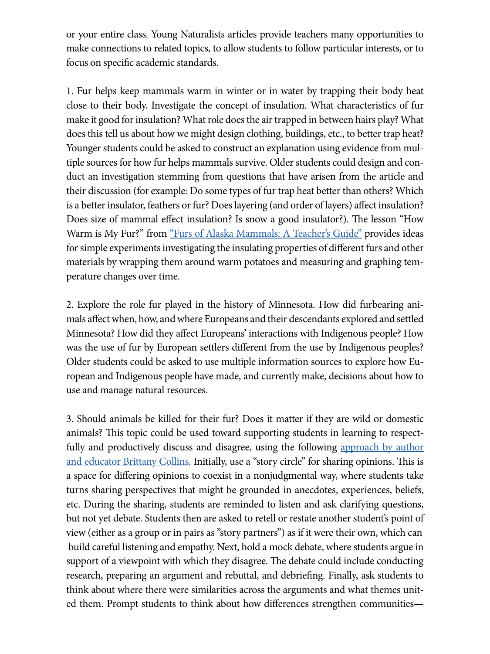or your entire class. Young Naturalists articles provide teachers many opportunities to make connections to related topics, to allow students to follow particular interests, or to focus on specific academic standards.

1. Fur helps keep mammals warm in winter or in water by trapping their body heat close to their body. Investigate the concept of insulation. What characteristics of fur make it good for insulation? What role does the air trapped in between hairs play? What does this tell us about how we might design clothing, buildings, etc., to better trap heat? Younger students could be asked to construct an explanation using evidence from multiple sources for how fur helps mammals survive. Older students could design and conduct an investigation stemming from questions that have arisen from the article and their discussion (for example: Do some types of fur trap heat better than others? Which is a better insulator, feathers or fur? Does layering (and order of layers) affect insulation? Does size of mammal effect insulation? Is snow a good insulator?). The lesson "How Warm is My Fur?" from ["Furs of Alaska Mammals: A Teacher's Guide"](http://https://www.adfg.alaska.gov/static/education/educators/pdfs/furs_of_alaska_mammals_teachers_guide.pdf) provides ideas for simple experiments investigating the insulating properties of different furs and other materials by wrapping them around warm potatoes and measuring and graphing temperature changes over time.

2. Explore the role fur played in the history of Minnesota. How did furbearing animals affect when, how, and where Europeans and their descendants explored and settled Minnesota? How did they affect Europeans' interactions with Indigenous people? How was the use of fur by European settlers different from the use by Indigenous peoples? Older students could be asked to use multiple information sources to explore how European and Indigenous people have made, and currently make, decisions about how to use and manage natural resources.

3. Should animals be killed for their fur? Does it matter if they are wild or domestic animals? This topic could be used toward supporting students in learning to respectfully and productively discuss and disagree, using the following approach by author [and educator Brittany Collins.](https://www.edutopia.org/article/teaching-students-disagree-productively) Initially, use a "story circle" for sharing opinions. This is a space for differing opinions to coexist in a nonjudgmental way, where students take turns sharing perspectives that might be grounded in anecdotes, experiences, beliefs, etc. During the sharing, students are reminded to listen and ask clarifying questions, but not yet debate. Students then are asked to retell or restate another student's point of view (either as a group or in pairs as "story partners") as if it were their own, which can build careful listening and empathy. Next, hold a mock debate, where students argue in support of a viewpoint with which they disagree. The debate could include conducting research, preparing an argument and rebuttal, and debriefing. Finally, ask students to think about where there were similarities across the arguments and what themes united them. Prompt students to think about how differences strengthen communities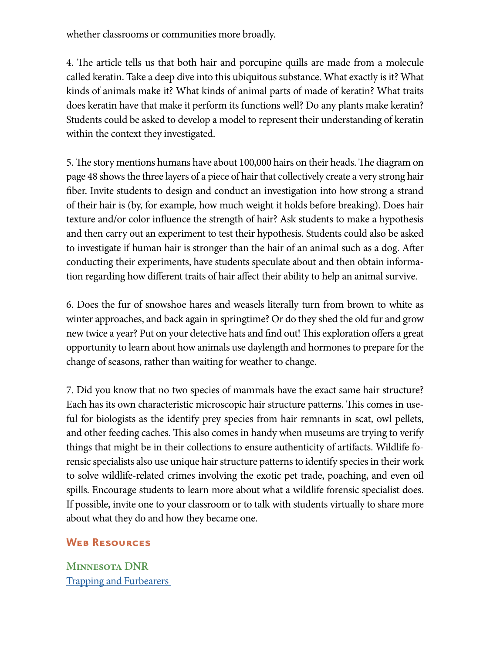whether classrooms or communities more broadly.

4. The article tells us that both hair and porcupine quills are made from a molecule called keratin. Take a deep dive into this ubiquitous substance. What exactly is it? What kinds of animals make it? What kinds of animal parts of made of keratin? What traits does keratin have that make it perform its functions well? Do any plants make keratin? Students could be asked to develop a model to represent their understanding of keratin within the context they investigated.

5. The story mentions humans have about 100,000 hairs on their heads. The diagram on page 48 shows the three layers of a piece of hair that collectively create a very strong hair fiber. Invite students to design and conduct an investigation into how strong a strand of their hair is (by, for example, how much weight it holds before breaking). Does hair texture and/or color influence the strength of hair? Ask students to make a hypothesis and then carry out an experiment to test their hypothesis. Students could also be asked to investigate if human hair is stronger than the hair of an animal such as a dog. After conducting their experiments, have students speculate about and then obtain information regarding how different traits of hair affect their ability to help an animal survive.

6. Does the fur of snowshoe hares and weasels literally turn from brown to white as winter approaches, and back again in springtime? Or do they shed the old fur and grow new twice a year? Put on your detective hats and find out! This exploration offers a great opportunity to learn about how animals use daylength and hormones to prepare for the change of seasons, rather than waiting for weather to change.

7. Did you know that no two species of mammals have the exact same hair structure? Each has its own characteristic microscopic hair structure patterns. This comes in useful for biologists as the identify prey species from hair remnants in scat, owl pellets, and other feeding caches. This also comes in handy when museums are trying to verify things that might be in their collections to ensure authenticity of artifacts. Wildlife forensic specialists also use unique hair structure patterns to identify species in their work to solve wildlife-related crimes involving the exotic pet trade, poaching, and even oil spills. Encourage students to learn more about what a wildlife forensic specialist does. If possible, invite one to your classroom or to talk with students virtually to share more about what they do and how they became one.

#### **Web Resources**

**Minnesota DNR** [Trapping and Furbearers](https://www.dnr.state.mn.us/recreation/hunting/trapping/more.html)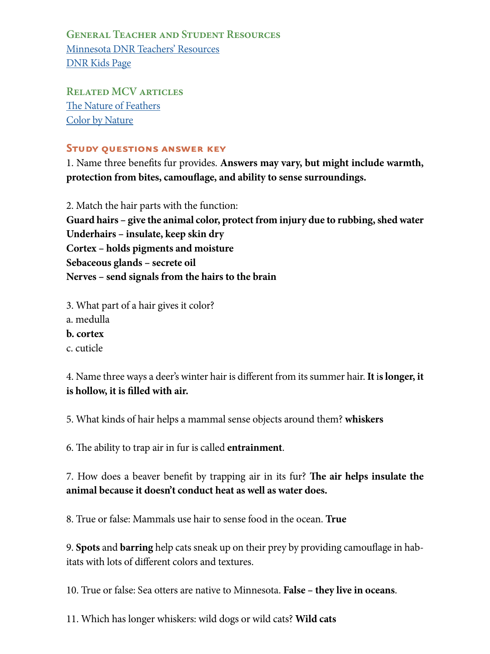**General Teacher and Student Resources** [Minnesota DNR Teachers' Resources](http://www.dnr.state.mn.us/education/teachers/index.html) [DNR Kids Page](http://www.dnr.state.mn.us/dnrkids/index.html)

**Related MCV articles** [The Nature of Feathers](https://webapps15.dnr.state.mn.us/volunteer_index_api/past_issues/article_pdf?id=2103) [Color by Nature](https://webapps15.dnr.state.mn.us/volunteer_index_api/past_issues/article_pdf?id=8288)

#### **Study questions answer key**

1. Name three benefits fur provides. **Answers may vary, but might include warmth, protection from bites, camouflage, and ability to sense surroundings.**

2. Match the hair parts with the function: **Guard hairs – give the animal color, protect from injury due to rubbing, shed water Underhairs – insulate, keep skin dry Cortex – holds pigments and moisture Sebaceous glands – secrete oil Nerves – send signals from the hairs to the brain** 

- 3. What part of a hair gives it color?
- a. medulla
- **b. cortex**
- c. cuticle

4. Name three ways a deer's winter hair is different from its summer hair. **It** i**s longer, it is hollow, it is filled with air.** 

5. What kinds of hair helps a mammal sense objects around them? **whiskers**

6. The ability to trap air in fur is called **entrainment**.

7. How does a beaver benefit by trapping air in its fur? **The air helps insulate the animal because it doesn't conduct heat as well as water does.**

8. True or false: Mammals use hair to sense food in the ocean. **True**

9. **Spots** and **barring** help cats sneak up on their prey by providing camouflage in habitats with lots of different colors and textures.

10. True or false: Sea otters are native to Minnesota. **False – they live in oceans**.

11. Which has longer whiskers: wild dogs or wild cats? **Wild cats**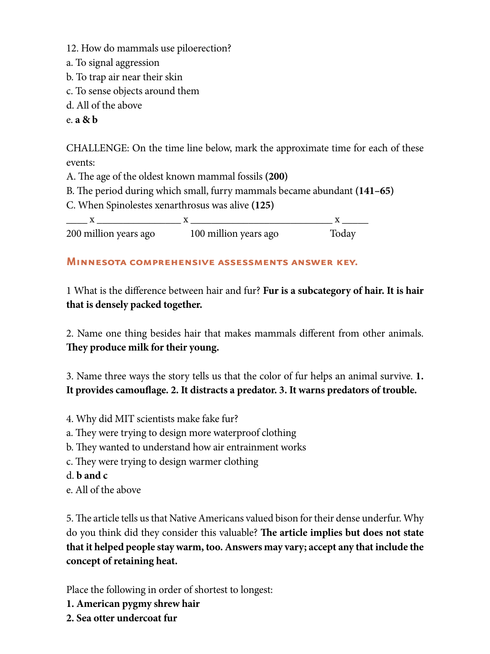12. How do mammals use piloerection?

- a. To signal aggression
- b. To trap air near their skin
- c. To sense objects around them
- d. All of the above

e. **a & b**

CHALLENGE: On the time line below, mark the approximate time for each of these events:

A. The age of the oldest known mammal fossils **(200)**

B. The period during which small, furry mammals became abundant **(141–65)**

C. When Spinolestes xenarthrosus was alive **(125)**

 $X \longrightarrow X$ 200 million years ago 100 million years ago Today

#### **Minnesota comprehensive assessments answer key.**

1 What is the difference between hair and fur? **Fur is a subcategory of hair. It is hair that is densely packed together.** 

2. Name one thing besides hair that makes mammals different from other animals. **They produce milk for their young.**

3. Name three ways the story tells us that the color of fur helps an animal survive. **1. It provides camouflage. 2. It distracts a predator. 3. It warns predators of trouble.**

- 4. Why did MIT scientists make fake fur?
- a. They were trying to design more waterproof clothing
- b. They wanted to understand how air entrainment works
- c. They were trying to design warmer clothing
- d. **b and c**
- e. All of the above

5. The article tells us that Native Americans valued bison for their dense underfur. Why do you think did they consider this valuable? **The article implies but does not state that it helped people stay warm, too. Answers may vary; accept any that include the concept of retaining heat.** 

Place the following in order of shortest to longest:

- **1. American pygmy shrew hair**
- **2. Sea otter undercoat fur**